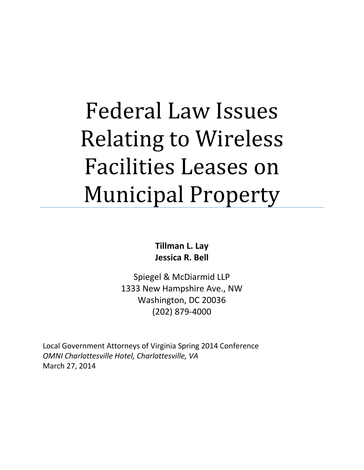# Federal Law Issues **Relating to Wireless** Facilities Leases on Municipal Property

**Tillman L. Lay Jessica R. Bell**

Spiegel & McDiarmid LLP 1333 New Hampshire Ave., NW Washington, DC 20036 (202) 879-4000

Local Government Attorneys of Virginia Spring 2014 Conference *OMNI Charlottesville Hotel, Charlottesville, VA* March 27, 2014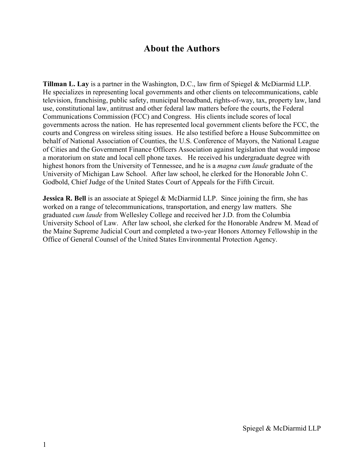# **About the Authors**

**Tillman L. Lay** is a partner in the Washington, D.C., law firm of Spiegel & McDiarmid LLP. He specializes in representing local governments and other clients on telecommunications, cable television, franchising, public safety, municipal broadband, rights-of-way, tax, property law, land use, constitutional law, antitrust and other federal law matters before the courts, the Federal Communications Commission (FCC) and Congress. His clients include scores of local governments across the nation. He has represented local government clients before the FCC, the courts and Congress on wireless siting issues. He also testified before a House Subcommittee on behalf of National Association of Counties, the U.S. Conference of Mayors, the National League of Cities and the Government Finance Officers Association against legislation that would impose a moratorium on state and local cell phone taxes. He received his undergraduate degree with highest honors from the University of Tennessee, and he is a *magna cum laude* graduate of the University of Michigan Law School. After law school, he clerked for the Honorable John C. Godbold, Chief Judge of the United States Court of Appeals for the Fifth Circuit.

**Jessica R. Bell** is an associate at Spiegel & McDiarmid LLP. Since joining the firm, she has worked on a range of telecommunications, transportation, and energy law matters. She graduated *cum laude* from Wellesley College and received her J.D. from the Columbia University School of Law. After law school, she clerked for the Honorable Andrew M. Mead of the Maine Supreme Judicial Court and completed a two-year Honors Attorney Fellowship in the Office of General Counsel of the United States Environmental Protection Agency.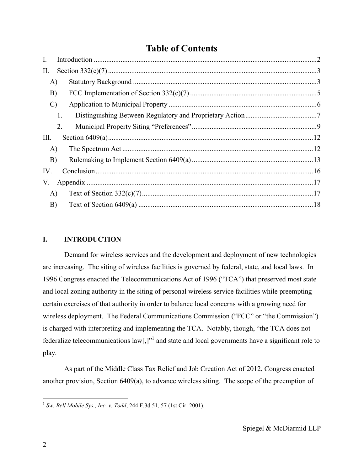# **Table of Contents**

| I.            |    |  |
|---------------|----|--|
| П.            |    |  |
| A)            |    |  |
| B)            |    |  |
| $\mathcal{C}$ |    |  |
|               | 1. |  |
|               | 2. |  |
| Ш.            |    |  |
| A)            |    |  |
| B)            |    |  |
| IV.           |    |  |
| V.            |    |  |
| A)            |    |  |
| B)            |    |  |

#### <span id="page-2-0"></span>**I. INTRODUCTION**

Demand for wireless services and the development and deployment of new technologies are increasing. The siting of wireless facilities is governed by federal, state, and local laws. In 1996 Congress enacted the Telecommunications Act of 1996 ("TCA") that preserved most state and local zoning authority in the siting of personal wireless service facilities while preempting certain exercises of that authority in order to balance local concerns with a growing need for wireless deployment. The Federal Communications Commission ("FCC" or "the Commission") is charged with interpreting and implementing the TCA. Notably, though, "the TCA does not federalize telecommunications  $\text{law}[\cdot]]^{1}$  and state and local governments have a significant role to play.

As part of the Middle Class Tax Relief and Job Creation Act of 2012, Congress enacted another provision, Section 6409(a), to advance wireless siting. The scope of the preemption of

 1 *Sw. Bell Mobile Sys., Inc. v. Todd*, 244 F.3d 51, 57 (1st Cir. 2001).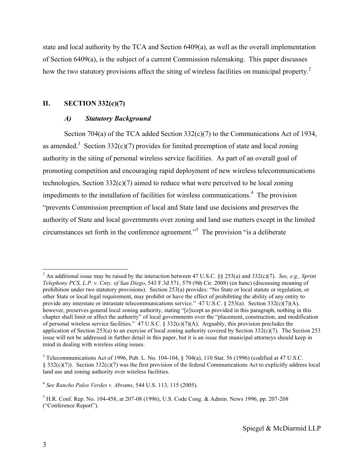state and local authority by the TCA and Section 6409(a), as well as the overall implementation of Section 6409(a), is the subject of a current Commission rulemaking. This paper discusses how the two statutory provisions affect the siting of wireless facilities on municipal property.<sup>2</sup>

#### **II. SECTION 332(c)(7)**

#### <span id="page-3-1"></span><span id="page-3-0"></span>*A) Statutory Background*

Section 704(a) of the TCA added Section 332(c)(7) to the Communications Act of 1934, as amended.<sup>3</sup> Section 332(c)(7) provides for limited preemption of state and local zoning authority in the siting of personal wireless service facilities. As part of an overall goal of promoting competition and encouraging rapid deployment of new wireless telecommunications technologies, Section 332(c)(7) aimed to reduce what were perceived to be local zoning impediments to the installation of facilities for wireless communications.<sup>4</sup> The provision "prevents Commission preemption of local and State land use decisions and preserves the authority of State and local governments over zoning and land use matters except in the limited circumstances set forth in the conference agreement."<sup>5</sup> The provision "is a deliberate

<sup>2</sup> An additional issue may be raised by the interaction between 47 U.S.C. §§ 253(a) and 332(c)(7). *See, e.g., Sprint Telephony PCS, L.P. v. Cnty. of San Diego*, 543 F.3d 571, 579 (9th Cir. 2008) (en banc) (discussing meaning of prohibition under two statutory provisions). Section 253(a) provides: "No State or local statute or regulation, or other State or local legal requirement, may prohibit or have the effect of prohibiting the ability of any entity to provide any interstate or intrastate telecommunications service." 47 U.S.C. § 253(a). Section 332(c)(7)(A), however, preserves general local zoning authority, stating "[e]xcept as provided in this paragraph, nothing in this chapter shall limit or affect the authority" of local governments over the "placement, construction, and modification of personal wireless service facilities."  $47 \text{ U.S.C.}$  § 332(c)(7)(A). Arguably, this provision precludes the application of Section 253(a) to an exercise of local zoning authority covered by Section 332(c)(7). The Section 253 issue will not be addressed in further detail in this paper, but it is an issue that municipal attorneys should keep in mind in dealing with wireless siting issues.

<sup>&</sup>lt;sup>3</sup> Telecommunications Act of 1996, Pub. L. No. 104-104, § 704(a), 110 Stat. 56 (1996) (codified at 47 U.S.C.  $§$  332(c)(7)). Section 332(c)(7) was the first provision of the federal Communications Act to explicitly address local land use and zoning authority over wireless facilities.

<sup>4</sup> *See Rancho Palos Verdes v. Abrams*, 544 U.S. 113, 115 (2005).

<sup>5</sup> H.R. Conf. Rep. No. 104-458, at 207-08 (1996), U.S. Code Cong. & Admin. News 1996, pp. 207-208 ("Conference Report").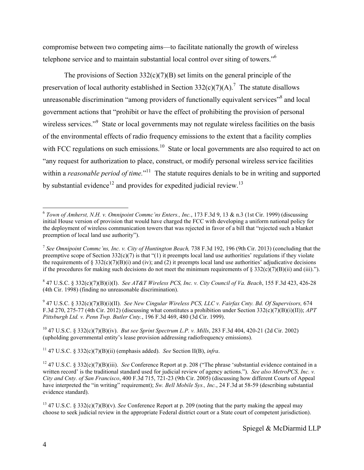compromise between two competing aims—to facilitate nationally the growth of wireless telephone service and to maintain substantial local control over siting of towers."<sup>6</sup>

The provisions of Section  $332(c)(7)(B)$  set limits on the general principle of the preservation of local authority established in Section 332(c)(7)(A).<sup>7</sup> The statute disallows unreasonable discrimination "among providers of functionally equivalent services"<sup>8</sup> and local government actions that "prohibit or have the effect of prohibiting the provision of personal wireless services."<sup>9</sup> State or local governments may not regulate wireless facilities on the basis of the environmental effects of radio frequency emissions to the extent that a facility complies with FCC regulations on such emissions.<sup>10</sup> State or local governments are also required to act on "any request for authorization to place, construct, or modify personal wireless service facilities within a *reasonable period of time*."<sup>11</sup> The statute requires denials to be in writing and supported by substantial evidence<sup>12</sup> and provides for expedited judicial review.<sup>13</sup>

8 47 U.S.C. § 332(c)(7)(B)(i)(I). *See AT&T Wireless PCS, Inc. v. City Council of Va. Beach*, 155 F.3d 423, 426-28 (4th Cir. 1998) (finding no unreasonable discrimination).

<sup>9</sup> 47 U.S.C. § 332(c)(7)(B)(i)(II). *See New Cingular Wireless PCS, LLC v. Fairfax Cnty. Bd. Of Supervisors,* 674 F.3d 270, 275-77 (4th Cir. 2012) (discussing what constitutes a prohibition under Section 332(c)(7)(B)(i)(II)); *APT Pittsburgh Ltd. v. Penn Twp. Butler Cnty.*, 196 F.3d 469, 480 (3d Cir. 1999).

<sup>10</sup> 47 U.S.C. § 332(c)(7)(B)(iv). *But see Sprint Spectrum L.P. v. Mills*, 283 F.3d 404, 420-21 (2d Cir. 2002) (upholding governmental entity's lease provision addressing radiofrequency emissions).

<sup>11</sup> 47 U.S.C. § 332(c)(7)(B)(ii) (emphasis added). *See* Section II(B), *infra*.

<sup>6</sup> *Town of Amherst, N.H. v. Omnipoint Commc'ns Enters., Inc.*, 173 F.3d 9, 13 & n.3 (1st Cir. 1999) (discussing initial House version of provision that would have charged the FCC with developing a uniform national policy for the deployment of wireless communication towers that was rejected in favor of a bill that "rejected such a blanket preemption of local land use authority").

<sup>&</sup>lt;sup>7</sup> See Omnipoint Commc'ns, Inc. v. City of Huntington Beach, 738 F.3d 192, 196 (9th Cir. 2013) (concluding that the preemptive scope of Section  $332(c)(7)$  is that "(1) it preempts local land use authorities' regulations if they violate the requirements of § 332(c)(7)(B)(i) and (iv); and (2) it preempts local land use authorities' adjudicative decisions if the procedures for making such decisions do not meet the minimum requirements of § 332(c)(7)(B)(ii) and (iii).").

<sup>&</sup>lt;sup>12</sup> 47 U.S.C. § 332(c)(7)(B)(iii). *See* Conference Report at p. 208 ("The phrase 'substantial evidence contained in a written record' is the traditional standard used for judicial review of agency actions."). *See also MetroPCS, Inc. v. City and Cnty. of San Francisco*, 400 F.3d 715, 721-23 (9th Cir. 2005) (discussing how different Courts of Appeal have interpreted the "in writing" requirement); *Sw. Bell Mobile Sys., Inc.*, 24 F.3d at 58-59 (describing substantial evidence standard).

<sup>13</sup> 47 U.S.C. § 332(c)(7)(B)(v). *See* Conference Report at p. 209 (noting that the party making the appeal may choose to seek judicial review in the appropriate Federal district court or a State court of competent jurisdiction).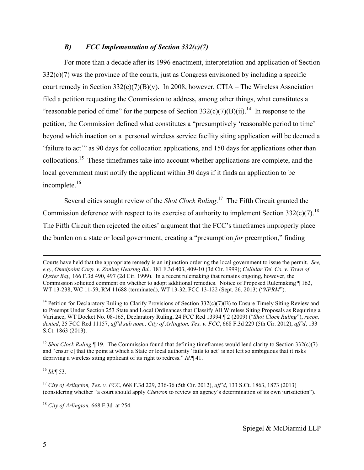#### <span id="page-5-0"></span>*B) FCC Implementation of Section 332(c)(7)*

For more than a decade after its 1996 enactment, interpretation and application of Section  $332(c)(7)$  was the province of the courts, just as Congress envisioned by including a specific court remedy in Section  $332(c)(7)(B)(v)$ . In 2008, however, CTIA – The Wireless Association filed a petition requesting the Commission to address, among other things, what constitutes a "reasonable period of time" for the purpose of Section  $332(c)(7)(B)(ii)$ .<sup>14</sup> In response to the petition, the Commission defined what constitutes a "presumptively 'reasonable period to time' beyond which inaction on a personal wireless service facility siting application will be deemed a 'failure to act'" as 90 days for collocation applications, and 150 days for applications other than collocations.<sup>15</sup> These timeframes take into account whether applications are complete, and the local government must notify the applicant within 30 days if it finds an application to be incomplete.<sup>16</sup>

Several cities sought review of the *Shot Clock Ruling*. 17 The Fifth Circuit granted the Commission deference with respect to its exercise of authority to implement Section 332(c)(7).<sup>18</sup> The Fifth Circuit then rejected the cities' argument that the FCC's timeframes improperly place the burden on a state or local government, creating a "presumption *for* preemption," finding

Courts have held that the appropriate remedy is an injunction ordering the local government to issue the permit. *See, e.g.*, *Omnipoint Corp. v. Zoning Hearing Bd.,* 181 F.3d 403, 409-10 (3d Cir. 1999); *Cellular Tel. Co. v. Town of Oyster Bay,* 166 F.3d 490, 497 (2d Cir. 1999). In a recent rulemaking that remains ongoing, however, the Commission solicited comment on whether to adopt additional remedies. Notice of Proposed Rulemaking ¶ 162, WT 13-238, WC 11-59, RM 11688 (terminated), WT 13-32, FCC 13-122 (Sept. 26, 2013) ("*NPRM*").

<sup>14</sup> Petition for Declaratory Ruling to Clarify Provisions of Section  $332(c)(7)(B)$  to Ensure Timely Siting Review and to Preempt Under Section 253 State and Local Ordinances that Classify All Wireless Siting Proposals as Requiring a Variance, WT Docket No. 08-165, Declaratory Ruling, 24 FCC Rcd 13994 ¶ 2 (2009) ("*Shot Clock Ruling*"), *recon. denied*, 25 FCC Rcd 11157, *aff'd sub nom., City of Arlington, Tex. v. FCC*, 668 F.3d 229 (5th Cir. 2012), *aff'd*, 133 S.Ct. 1863 (2013).

<sup>15</sup> *Shot Clock Ruling* **[4** 19. The Commission found that defining timeframes would lend clarity to Section 332(c)(7) and "ensur[e] that the point at which a State or local authority 'fails to act' is not left so ambiguous that it risks depriving a wireless siting applicant of its right to redress." *Id.*¶ 41.

<sup>16</sup> *Id.*¶ 53.

 $\overline{a}$ 

<sup>17</sup> *City of Arlington, Tex. v. FCC*, 668 F.3d 229, 236-36 (5th Cir. 2012), *aff'd*, 133 S.Ct. 1863, 1873 (2013) (considering whether "a court should apply *Chevron* to review an agency's determination of its own jurisdiction").

<sup>18</sup> *City of Arlington,* 668 F.3d at 254.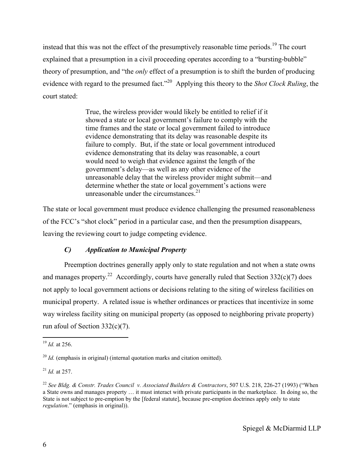instead that this was not the effect of the presumptively reasonable time periods.<sup>19</sup> The court explained that a presumption in a civil proceeding operates according to a "bursting-bubble" theory of presumption, and "the *only* effect of a presumption is to shift the burden of producing evidence with regard to the presumed fact."<sup>20</sup> Applying this theory to the *Shot Clock Ruling*, the court stated:

> True, the wireless provider would likely be entitled to relief if it showed a state or local government's failure to comply with the time frames and the state or local government failed to introduce evidence demonstrating that its delay was reasonable despite its failure to comply. But, if the state or local government introduced evidence demonstrating that its delay was reasonable, a court would need to weigh that evidence against the length of the government's delay—as well as any other evidence of the unreasonable delay that the wireless provider might submit—and determine whether the state or local government's actions were unreasonable under the circumstances  $21$

The state or local government must produce evidence challenging the presumed reasonableness of the FCC's "shot clock" period in a particular case, and then the presumption disappears, leaving the reviewing court to judge competing evidence.

# <span id="page-6-0"></span>*C) Application to Municipal Property*

Preemption doctrines generally apply only to state regulation and not when a state owns and manages property.<sup>22</sup> Accordingly, courts have generally ruled that Section 332(c)(7) does not apply to local government actions or decisions relating to the siting of wireless facilities on municipal property. A related issue is whether ordinances or practices that incentivize in some way wireless facility siting on municipal property (as opposed to neighboring private property) run afoul of Section 332(c)(7).

 $\overline{a}$ <sup>19</sup> *Id.* at 256.

 $^{20}$  *Id.* (emphasis in original) (internal quotation marks and citation omitted).

<sup>21</sup> *Id.* at 257.

<sup>22</sup> *See Bldg. & Constr. Trades Council v. Associated Builders & Contractors*, 507 U.S. 218, 226-27 (1993) ("When a State owns and manages property … it must interact with private participants in the marketplace. In doing so, the State is not subject to pre-emption by the [federal statute], because pre-emption doctrines apply only to state *regulation*." (emphasis in original)).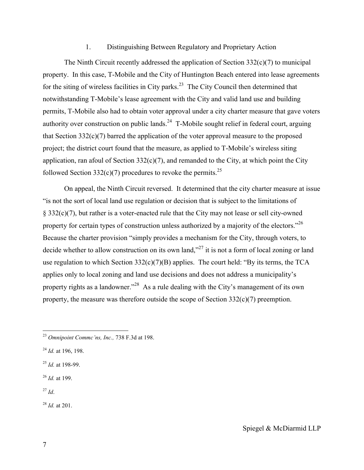## <span id="page-7-0"></span>1. Distinguishing Between Regulatory and Proprietary Action

The Ninth Circuit recently addressed the application of Section  $332(c)(7)$  to municipal property. In this case, T-Mobile and the City of Huntington Beach entered into lease agreements for the siting of wireless facilities in City parks.<sup>23</sup> The City Council then determined that notwithstanding T-Mobile's lease agreement with the City and valid land use and building permits, T-Mobile also had to obtain voter approval under a city charter measure that gave voters authority over construction on public lands.<sup>24</sup> T-Mobile sought relief in federal court, arguing that Section 332(c)(7) barred the application of the voter approval measure to the proposed project; the district court found that the measure, as applied to T-Mobile's wireless siting application, ran afoul of Section  $332(c)(7)$ , and remanded to the City, at which point the City followed Section 332(c)(7) procedures to revoke the permits.<sup>25</sup>

On appeal, the Ninth Circuit reversed. It determined that the city charter measure at issue "is not the sort of local land use regulation or decision that is subject to the limitations of § 332(c)(7), but rather is a voter-enacted rule that the City may not lease or sell city-owned property for certain types of construction unless authorized by a majority of the electors."<sup>26</sup> Because the charter provision "simply provides a mechanism for the City, through voters, to decide whether to allow construction on its own land,"<sup>27</sup> it is not a form of local zoning or land use regulation to which Section  $332(c)(7)(B)$  applies. The court held: "By its terms, the TCA applies only to local zoning and land use decisions and does not address a municipality's property rights as a landowner."<sup>28</sup> As a rule dealing with the City's management of its own property, the measure was therefore outside the scope of Section 332(c)(7) preemption.

 $\overline{a}$ 

<sup>28</sup> *Id.* at 201.

<sup>23</sup> *Omnipoint Commc'ns, Inc.,* 738 F.3d at 198.

<sup>24</sup> *Id.* at 196, 198.

<sup>25</sup> *Id.* at 198-99.

<sup>26</sup> *Id.* at 199.

<sup>27</sup> *Id*.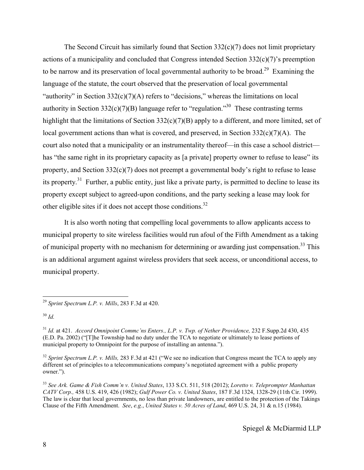The Second Circuit has similarly found that Section  $332(c)(7)$  does not limit proprietary actions of a municipality and concluded that Congress intended Section 332(c)(7)'s preemption to be narrow and its preservation of local governmental authority to be broad.<sup>29</sup> Examining the language of the statute, the court observed that the preservation of local governmental "authority" in Section  $332(c)(7)(A)$  refers to "decisions," whereas the limitations on local authority in Section 332(c)(7)(B) language refer to "regulation."<sup>30</sup> These contrasting terms highlight that the limitations of Section 332(c)(7)(B) apply to a different, and more limited, set of local government actions than what is covered, and preserved, in Section 332(c)(7)(A). The court also noted that a municipality or an instrumentality thereof—in this case a school district has "the same right in its proprietary capacity as [a private] property owner to refuse to lease" its property, and Section 332(c)(7) does not preempt a governmental body's right to refuse to lease its property.<sup>31</sup> Further, a public entity, just like a private party, is permitted to decline to lease its property except subject to agreed-upon conditions, and the party seeking a lease may look for other eligible sites if it does not accept those conditions.<sup>32</sup>

It is also worth noting that compelling local governments to allow applicants access to municipal property to site wireless facilities would run afoul of the Fifth Amendment as a taking of municipal property with no mechanism for determining or awarding just compensation.<sup>33</sup> This is an additional argument against wireless providers that seek access, or unconditional access, to municipal property.

<sup>30</sup> *Id.*

<sup>29</sup> *Sprint Spectrum L.P. v. Mills*, 283 F.3d at 420.

<sup>&</sup>lt;sup>31</sup> *Id.* at 421. *Accord Omnipoint Commc'ns Enters., L.P. v. Twp. of Nether Providence, 232 F.Supp.2d 430, 435* (E.D. Pa. 2002) ("[T]he Township had no duty under the TCA to negotiate or ultimately to lease portions of municipal property to Omnipoint for the purpose of installing an antenna.").

<sup>&</sup>lt;sup>32</sup> *Sprint Spectrum L.P. v. Mills,* 283 F.3d at 421 ("We see no indication that Congress meant the TCA to apply any different set of principles to a telecommunications company's negotiated agreement with a public property owner.").

<sup>33</sup> *See Ark. Game & Fish Comm'n v. United States*, 133 S.Ct. 511, 518 (2012); *Loretto v. Teleprompter Manhattan CATV Corp.,* 458 U.S. 419, 426 (1982); *Gulf Power Co. v. United States*, 187 F.3d 1324, 1328-29 (11th Cir. 1999). The law is clear that local governments, no less than private landowners, are entitled to the protection of the Takings Clause of the Fifth Amendment. *See*, *e.g.*, *United States v. 50 Acres of Land*, 469 U.S. 24, 31 & n.15 (1984).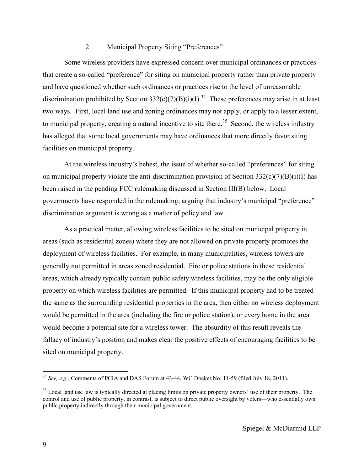#### <span id="page-9-0"></span>2. Municipal Property Siting "Preferences"

Some wireless providers have expressed concern over municipal ordinances or practices that create a so-called "preference" for siting on municipal property rather than private property and have questioned whether such ordinances or practices rise to the level of unreasonable discrimination prohibited by Section 332(c)(7)(B)(i)(I).<sup>34</sup> These preferences may arise in at least two ways. First, local land use and zoning ordinances may not apply, or apply to a lesser extent, to municipal property, creating a natural incentive to site there.<sup>35</sup> Second, the wireless industry has alleged that some local governments may have ordinances that more directly favor siting facilities on municipal property.

At the wireless industry's behest, the issue of whether so-called "preferences" for siting on municipal property violate the anti-discrimination provision of Section  $332(c)(7)(B)(i)(I)$  has been raised in the pending FCC rulemaking discussed in Section III(B) below. Local governments have responded in the rulemaking, arguing that industry's municipal "preference" discrimination argument is wrong as a matter of policy and law.

As a practical matter, allowing wireless facilities to be sited on municipal property in areas (such as residential zones) where they are not allowed on private property promotes the deployment of wireless facilities. For example, in many municipalities, wireless towers are generally not permitted in areas zoned residential. Fire or police stations in these residential areas, which already typically contain public safety wireless facilities, may be the only eligible property on which wireless facilities are permitted. If this municipal property had to be treated the same as the surrounding residential properties in the area, then either no wireless deployment would be permitted in the area (including the fire or police station), or every home in the area would become a potential site for a wireless tower. The absurdity of this result reveals the fallacy of industry's position and makes clear the positive effects of encouraging facilities to be sited on municipal property.

<sup>34</sup> *See, e.g.,* Comments of PCIA and DAS Forum at 43-44, WC Docket No. 11-59 (filed July 18, 2011).

 $35$  Local land use law is typically directed at placing limits on private property owners' use of their property. The control and use of public property, in contrast, is subject to direct public oversight by voters—who essentially own public property indirectly through their municipal government.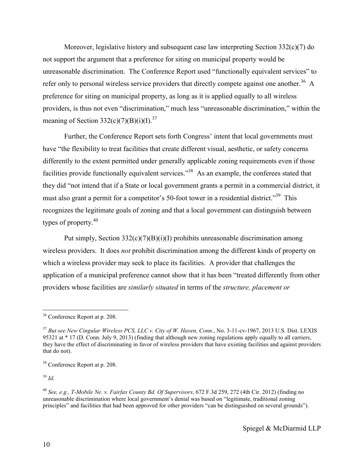Moreover, legislative history and subsequent case law interpreting Section  $332(c)(7)$  do not support the argument that a preference for siting on municipal property would be unreasonable discrimination. The Conference Report used "functionally equivalent services" to refer only to personal wireless service providers that directly compete against one another.<sup>36</sup> A preference for siting on municipal property, as long as it is applied equally to all wireless providers, is thus not even "discrimination," much less "unreasonable discrimination," within the meaning of Section  $332(c)(7)(B)(i)(I).^{37}$ 

Further, the Conference Report sets forth Congress' intent that local governments must have "the flexibility to treat facilities that create different visual, aesthetic, or safety concerns differently to the extent permitted under generally applicable zoning requirements even if those facilities provide functionally equivalent services."<sup>38</sup> As an example, the conferees stated that they did "not intend that if a State or local government grants a permit in a commercial district, it must also grant a permit for a competitor's 50-foot tower in a residential district."<sup>39</sup> This recognizes the legitimate goals of zoning and that a local government can distinguish between types of property.<sup>40</sup>

Put simply, Section  $332(c)(7)(B)(i)(I)$  prohibits unreasonable discrimination among wireless providers. It does *not* prohibit discrimination among the different kinds of property on which a wireless provider may seek to place its facilities. A provider that challenges the application of a municipal preference cannot show that it has been "treated differently from other providers whose facilities are *similarly situated* in terms of the *structure, placement or* 

<sup>39</sup> *Id.*

<sup>36</sup> Conference Report at p. 208.

<sup>37</sup> *But see New Cingular Wireless PCS, LLC v. City of W. Haven, Conn.*, No. 3-11-cv-1967, 2013 U.S. Dist. LEXIS 95321 at \* 17 (D. Conn. July 9, 2013) (finding that although new zoning regulations apply equally to all carriers, they have the effect of discriminating in favor of wireless providers that have existing facilities and against providers that do not).

<sup>38</sup> Conference Report at p. 208.

<sup>40</sup> *See, e.g., T-Mobile Ne. v. Fairfax County Bd. Of Supervisors*, 672 F.3d 259, 272 (4th Cir. 2012) (finding no unreasonable discrimination where local government's denial was based on "legitimate, traditional zoning principles" and facilities that had been approved for other providers "can be distinguished on several grounds").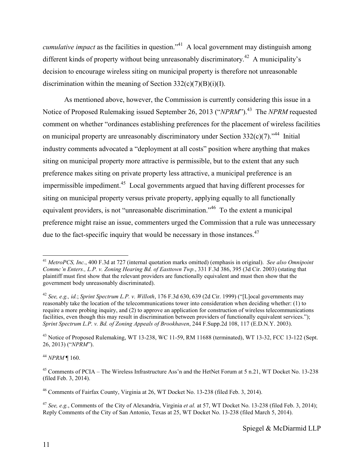*cumulative impact* as the facilities in question.<sup> $1$ </sup> A local government may distinguish among different kinds of property without being unreasonably discriminatory.<sup>42</sup> A municipality's decision to encourage wireless siting on municipal property is therefore not unreasonable discrimination within the meaning of Section  $332(c)(7)(B)(i)(I)$ .

As mentioned above, however, the Commission is currently considering this issue in a Notice of Proposed Rulemaking issued September 26, 2013 ("*NPRM*").<sup>43</sup> The *NPRM* requested comment on whether "ordinances establishing preferences for the placement of wireless facilities on municipal property are unreasonably discriminatory under Section  $332(c)(7)$ .<sup>44</sup> Initial industry comments advocated a "deployment at all costs" position where anything that makes siting on municipal property more attractive is permissible, but to the extent that any such preference makes siting on private property less attractive, a municipal preference is an impermissible impediment.<sup>45</sup> Local governments argued that having different processes for siting on municipal property versus private property, applying equally to all functionally equivalent providers, is not "unreasonable discrimination."<sup>46</sup> To the extent a municipal preference might raise an issue, commenters urged the Commission that a rule was unnecessary due to the fact-specific inquiry that would be necessary in those instances.<sup>47</sup>

<sup>44</sup> *NPRM* ¶ 160.

 $\overline{a}$ 

<sup>46</sup> Comments of Fairfax County, Virginia at 26, WT Docket No. 13-238 (filed Feb. 3, 2014).

<sup>41</sup> *MetroPCS, Inc.*, 400 F.3d at 727 (internal quotation marks omitted) (emphasis in original). *See also Omnipoint Commc'n Enters., L.P. v. Zoning Hearing Bd. of Easttown Twp.*, 331 F.3d 386, 395 (3d Cir. 2003) (stating that plaintiff must first show that the relevant providers are functionally equivalent and must then show that the government body unreasonably discriminated).

<sup>42</sup> *See, e.g., id.*; *Sprint Spectrum L.P. v. Willoth*, 176 F.3d 630, 639 (2d Cir. 1999) ("[L]ocal governments may reasonably take the location of the telecommunications tower into consideration when deciding whether: (1) to require a more probing inquiry, and (2) to approve an application for construction of wireless telecommunications facilities, even though this may result in discrimination between providers of functionally equivalent services."); *Sprint Spectrum L.P. v. Bd. of Zoning Appeals of Brookhaven*, 244 F.Supp.2d 108, 117 (E.D.N.Y. 2003).

<sup>&</sup>lt;sup>43</sup> Notice of Proposed Rulemaking, WT 13-238, WC 11-59, RM 11688 (terminated), WT 13-32, FCC 13-122 (Sept. 26, 2013) ("*NPRM*").

<sup>45</sup> Comments of PCIA – The Wireless Infrastructure Ass'n and the HetNet Forum at 5 n.21, WT Docket No. 13-238 (filed Feb. 3, 2014).

<sup>47</sup> *See, e.g.*, Comments of the City of Alexandria, Virginia *et al.* at 57, WT Docket No. 13-238 (filed Feb. 3, 2014); Reply Comments of the City of San Antonio, Texas at 25, WT Docket No. 13-238 (filed March 5, 2014).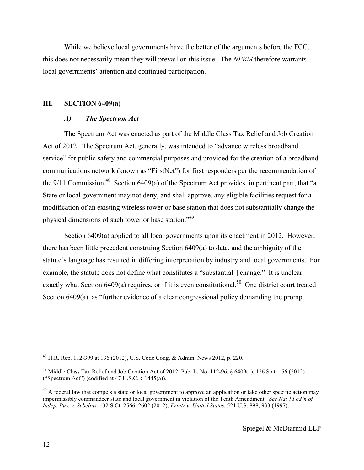While we believe local governments have the better of the arguments before the FCC, this does not necessarily mean they will prevail on this issue. The *NPRM* therefore warrants local governments' attention and continued participation.

#### **III. SECTION 6409(a)**

#### <span id="page-12-1"></span><span id="page-12-0"></span>*A) The Spectrum Act*

The Spectrum Act was enacted as part of the Middle Class Tax Relief and Job Creation Act of 2012. The Spectrum Act, generally, was intended to "advance wireless broadband service" for public safety and commercial purposes and provided for the creation of a broadband communications network (known as "FirstNet") for first responders per the recommendation of the 9/11 Commission.<sup>48</sup> Section 6409(a) of the Spectrum Act provides, in pertinent part, that "a State or local government may not deny, and shall approve, any eligible facilities request for a modification of an existing wireless tower or base station that does not substantially change the physical dimensions of such tower or base station."<sup>49</sup>

Section 6409(a) applied to all local governments upon its enactment in 2012. However, there has been little precedent construing Section 6409(a) to date, and the ambiguity of the statute's language has resulted in differing interpretation by industry and local governments. For example, the statute does not define what constitutes a "substantial<sup>[]</sup> change." It is unclear exactly what Section  $6409(a)$  requires, or if it is even constitutional.<sup>50</sup> One district court treated Section 6409(a) as "further evidence of a clear congressional policy demanding the prompt

<sup>48</sup> H.R. Rep. 112-399 at 136 (2012), U.S. Code Cong. & Admin. News 2012, p. 220.

<sup>&</sup>lt;sup>49</sup> Middle Class Tax Relief and Job Creation Act of 2012, Pub. L. No. 112-96, § 6409(a), 126 Stat. 156 (2012) ("Spectrum Act") (codified at 47 U.S.C. § 1445(a)).

 $50$  A federal law that compels a state or local government to approve an application or take other specific action may impermissibly commandeer state and local government in violation of the Tenth Amendment. *See Nat'l Fed'n of Indep. Bus. v. Sebelius,* 132 S.Ct. 2566, 2602 (2012); *Printz v. United States*, 521 U.S. 898, 933 (1997).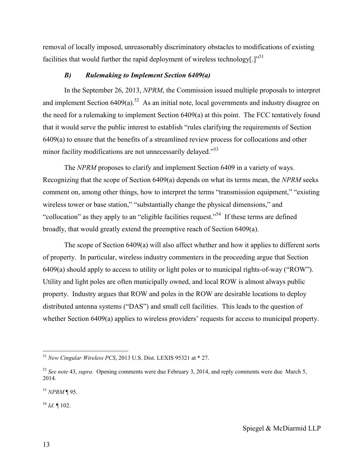removal of locally imposed, unreasonably discriminatory obstacles to modifications of existing facilities that would further the rapid deployment of wireless technology[.] $^{51}$ 

#### <span id="page-13-0"></span>*B) Rulemaking to Implement Section 6409(a)*

In the September 26, 2013, *NPRM*, the Commission issued multiple proposals to interpret and implement Section  $6409(a)$ .<sup>52</sup> As an initial note, local governments and industry disagree on the need for a rulemaking to implement Section 6409(a) at this point. The FCC tentatively found that it would serve the public interest to establish "rules clarifying the requirements of Section 6409(a) to ensure that the benefits of a streamlined review process for collocations and other minor facility modifications are not unnecessarily delayed."<sup>53</sup>

The *NPRM* proposes to clarify and implement Section 6409 in a variety of ways. Recognizing that the scope of Section 6409(a) depends on what its terms mean, the *NPRM* seeks comment on, among other things, how to interpret the terms "transmission equipment," "existing wireless tower or base station," "substantially change the physical dimensions," and "collocation" as they apply to an "eligible facilities request."<sup>54</sup> If these terms are defined broadly, that would greatly extend the preemptive reach of Section 6409(a).

The scope of Section 6409(a) will also affect whether and how it applies to different sorts of property. In particular, wireless industry commenters in the proceeding argue that Section 6409(a) should apply to access to utility or light poles or to municipal rights-of-way ("ROW"). Utility and light poles are often municipally owned, and local ROW is almost always public property. Industry argues that ROW and poles in the ROW are desirable locations to deploy distributed antenna systems ("DAS") and small cell facilities. This leads to the question of whether Section 6409(a) applies to wireless providers' requests for access to municipal property.

<sup>53</sup> *NPRM* ¶ 95.

 $^{54}$  *Id.* ¶ 102.

<sup>51</sup> *New Cingular Wireless PCS*, 2013 U.S. Dist. LEXIS 95321 at \* 27.

<sup>52</sup> *See note* 43, *supra.* Opening comments were due February 3, 2014, and reply comments were due March 5, 2014.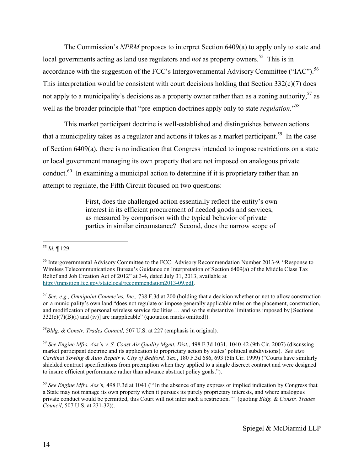The Commission's *NPRM* proposes to interpret Section 6409(a) to apply only to state and local governments acting as land use regulators and *not* as property owners.<sup>55</sup> This is in accordance with the suggestion of the FCC's Intergovernmental Advisory Committee ("IAC").<sup>56</sup> This interpretation would be consistent with court decisions holding that Section 332(c)(7) does not apply to a municipality's decisions as a property owner rather than as a zoning authority,  $57$  as well as the broader principle that "pre-emption doctrines apply only to state *regulation*."<sup>58</sup>

This market participant doctrine is well-established and distinguishes between actions that a municipality takes as a regulator and actions it takes as a market participant.<sup>59</sup> In the case of Section 6409(a), there is no indication that Congress intended to impose restrictions on a state or local government managing its own property that are not imposed on analogous private conduct.<sup>60</sup> In examining a municipal action to determine if it is proprietary rather than an attempt to regulate, the Fifth Circuit focused on two questions:

> First, does the challenged action essentially reflect the entity's own interest in its efficient procurement of needed goods and services, as measured by comparison with the typical behavior of private parties in similar circumstance? Second, does the narrow scope of

<sup>58</sup>*Bldg. & Constr. Trades Council,* 507 U.S. at 227 (emphasis in original).

<sup>59</sup> *See Engine Mfrs. Ass'n v. S. Coast Air Quality Mgmt. Dist.*, 498 F.3d 1031, 1040-42 (9th Cir. 2007) (discussing market participant doctrine and its application to proprietary action by states' political subdivisions). *See also Cardinal Towing & Auto Repair v. City of Bedford, Tex.*, 180 F.3d 686, 693 (5th Cir. 1999) ("Courts have similarly shielded contract specifications from preemption when they applied to a single discreet contract and were designed to insure efficient performance rather than advance abstract policy goals.").

 $\overline{a}$ <sup>55</sup> *Id.* ¶ 129.

<sup>&</sup>lt;sup>56</sup> Intergovernmental Advisory Committee to the FCC: Advisory Recommendation Number 2013-9, "Response to Wireless Telecommunications Bureau's Guidance on Interpretation of Section 6409(a) of the Middle Class Tax Relief and Job Creation Act of 2012" at 3-4, dated July 31, 2013, available at http://transition.fcc.gov/statelocal/recommendation2013-09.pdf.

<sup>57</sup> *See, e.g., Omnipoint Commc'ns, Inc.,* 738 F.3d at 200 (holding that a decision whether or not to allow construction on a municipality's own land "does not regulate or impose generally applicable rules on the placement, construction, and modification of personal wireless service facilities … and so the substantive limitations imposed by [Sections  $332(c)(7)(B)(i)$  and (iv)] are inapplicable" (quotation marks omitted)).

<sup>60</sup> *See Engine Mfrs. Ass'n,* 498 F.3d at 1041 ("'In the absence of any express or implied indication by Congress that a State may not manage its own property when it pursues its purely proprietary interests, and where analogous private conduct would be permitted, this Court will not infer such a restriction.'" (quoting *Bldg. & Constr. Trades Council*, 507 U.S. at 231-32)).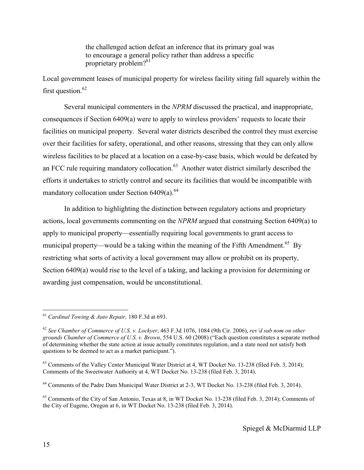the challenged action defeat an inference that its primary goal was to encourage a general policy rather than address a specific proprietary problem?<sup>61</sup>

Local government leases of municipal property for wireless facility siting fall squarely within the first question. $62$ 

Several municipal commenters in the *NPRM* discussed the practical, and inappropriate, consequences if Section 6409(a) were to apply to wireless providers' requests to locate their facilities on municipal property. Several water districts described the control they must exercise over their facilities for safety, operational, and other reasons, stressing that they can only allow wireless facilities to be placed at a location on a case-by-case basis, which would be defeated by an FCC rule requiring mandatory collocation.<sup>63</sup> Another water district similarly described the efforts it undertakes to strictly control and secure its facilities that would be incompatible with mandatory collocation under Section 6409(a).<sup>64</sup>

In addition to highlighting the distinction between regulatory actions and proprietary actions, local governments commenting on the *NPRM* argued that construing Section 6409(a) to apply to municipal property—essentially requiring local governments to grant access to municipal property—would be a taking within the meaning of the Fifth Amendment.<sup>65</sup> By restricting what sorts of activity a local government may allow or prohibit on its property, Section 6409(a) would rise to the level of a taking, and lacking a provision for determining or awarding just compensation, would be unconstitutional.

<sup>61</sup> *Cardinal Towing & Auto Repair,* 180 F.3d at 693.

<sup>62</sup> *See Chamber of Commerce of U.S. v. Lockyer*, 463 F.3d 1076, 1084 (9th Cir. 2006), *rev'd sub nom on other grounds Chamber of Commerce of U.S. v. Brown*, 554 U.S. 60 (2008) ("Each question constitutes a separate method of determining whether the state action at issue actually constitutes regulation, and a state need not satisfy both questions to be deemed to act as a market participant.").

 $^{63}$  Comments of the Valley Center Municipal Water District at 4, WT Docket No. 13-238 (filed Feb. 3, 2014); Comments of the Sweetwater Authority at 4, WT Docket No. 13-238 (filed Feb. 3, 2014).

<sup>&</sup>lt;sup>64</sup> Comments of the Padre Dam Municipal Water District at 2-3, WT Docket No. 13-238 (filed Feb. 3, 2014).

<sup>65</sup> Comments of the City of San Antonio, Texas at 8, in WT Docket No. 13-238 (filed Feb. 3, 2014); Comments of the City of Eugene, Oregon at 6, in WT Docket No. 13-238 (filed Feb. 3, 2014).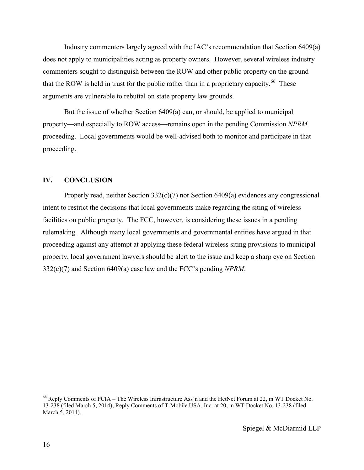Industry commenters largely agreed with the IAC's recommendation that Section 6409(a) does not apply to municipalities acting as property owners. However, several wireless industry commenters sought to distinguish between the ROW and other public property on the ground that the ROW is held in trust for the public rather than in a proprietary capacity.<sup>66</sup> These arguments are vulnerable to rebuttal on state property law grounds.

But the issue of whether Section 6409(a) can, or should, be applied to municipal property—and especially to ROW access—remains open in the pending Commission *NPRM* proceeding. Local governments would be well-advised both to monitor and participate in that proceeding.

#### <span id="page-16-0"></span>**IV. CONCLUSION**

Properly read, neither Section 332(c)(7) nor Section 6409(a) evidences any congressional intent to restrict the decisions that local governments make regarding the siting of wireless facilities on public property. The FCC, however, is considering these issues in a pending rulemaking. Although many local governments and governmental entities have argued in that proceeding against any attempt at applying these federal wireless siting provisions to municipal property, local government lawyers should be alert to the issue and keep a sharp eye on Section 332(c)(7) and Section 6409(a) case law and the FCC's pending *NPRM*.

<sup>66</sup> Reply Comments of PCIA – The Wireless Infrastructure Ass'n and the HetNet Forum at 22, in WT Docket No. 13-238 (filed March 5, 2014); Reply Comments of T-Mobile USA, Inc. at 20, in WT Docket No. 13-238 (filed March 5, 2014).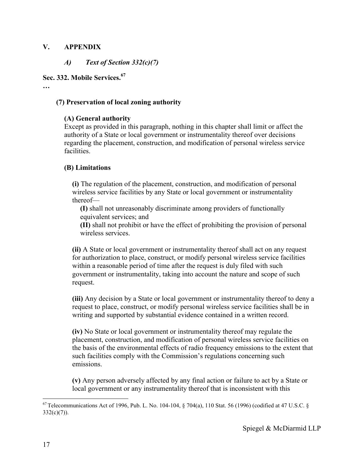#### **V. APPENDIX**

<span id="page-17-1"></span><span id="page-17-0"></span>*A) Text of Section 332(c)(7)*

# **Sec. 332. Mobile Services. 67**

**…**

## **(7) Preservation of local zoning authority**

#### **(A) General authority**

Except as provided in this paragraph, nothing in this chapter shall limit or affect the authority of a State or local government or instrumentality thereof over decisions regarding the placement, construction, and modification of personal wireless service facilities.

#### **(B) Limitations**

**(i)** The regulation of the placement, construction, and modification of personal wireless service facilities by any State or local government or instrumentality thereof—

**(I)** shall not unreasonably discriminate among providers of functionally equivalent services; and

**(II)** shall not prohibit or have the effect of prohibiting the provision of personal wireless services.

**(ii)** A State or local government or instrumentality thereof shall act on any request for authorization to place, construct, or modify personal wireless service facilities within a reasonable period of time after the request is duly filed with such government or instrumentality, taking into account the nature and scope of such request.

**(iii)** Any decision by a State or local government or instrumentality thereof to deny a request to place, construct, or modify personal wireless service facilities shall be in writing and supported by substantial evidence contained in a written record.

**(iv)** No State or local government or instrumentality thereof may regulate the placement, construction, and modification of personal wireless service facilities on the basis of the environmental effects of radio frequency emissions to the extent that such facilities comply with the Commission's regulations concerning such emissions.

**(v)** Any person adversely affected by any final action or failure to act by a State or local government or any instrumentality thereof that is inconsistent with this

 $^{67}$  Telecommunications Act of 1996, Pub. L. No. 104-104, § 704(a), 110 Stat. 56 (1996) (codified at 47 U.S.C. §  $332(c)(7)$ ).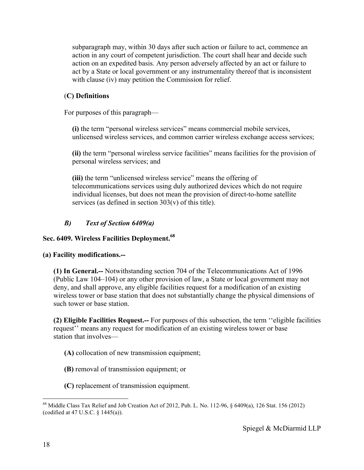subparagraph may, within 30 days after such action or failure to act, commence an action in any court of competent jurisdiction. The court shall hear and decide such action on an expedited basis. Any person adversely affected by an act or failure to act by a State or local government or any instrumentality thereof that is inconsistent with clause (iv) may petition the Commission for relief.

## (**C) Definitions**

For purposes of this paragraph—

**(i)** the term "personal wireless services" means commercial mobile services, unlicensed wireless services, and common carrier wireless exchange access services;

**(ii)** the term "personal wireless service facilities" means facilities for the provision of personal wireless services; and

**(iii)** the term "unlicensed wireless service" means the offering of telecommunications services using duly authorized devices which do not require individual licenses, but does not mean the provision of direct-to-home satellite services (as defined in section  $303(v)$  of this title).

# <span id="page-18-0"></span>*B) Text of Section 6409(a)*

## **Sec. 6409. Wireless Facilities Deployment.<sup>68</sup>**

#### **(a) Facility modifications.--**

**(1) In General.--** Notwithstanding section 704 of the Telecommunications Act of 1996 (Public Law 104–104) or any other provision of law, a State or local government may not deny, and shall approve, any eligible facilities request for a modification of an existing wireless tower or base station that does not substantially change the physical dimensions of such tower or base station.

**(2) Eligible Facilities Request.--** For purposes of this subsection, the term ''eligible facilities request'' means any request for modification of an existing wireless tower or base station that involves—

**(A)** collocation of new transmission equipment;

**(B)** removal of transmission equipment; or

**(C)** replacement of transmission equipment.

 $68$  Middle Class Tax Relief and Job Creation Act of 2012, Pub. L. No. 112-96,  $\S$  6409(a), 126 Stat. 156 (2012) (codified at 47 U.S.C. § 1445(a)).